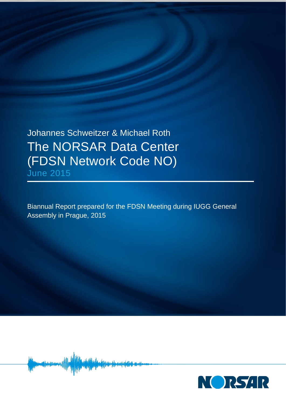Johannes Schweitzer & Michael Roth The NORSAR Data Center (FDSN Network Code NO)

June 2015

Biannual Report prepared for the FDSN Meeting during IUGG General Assembly in Prague, 2015



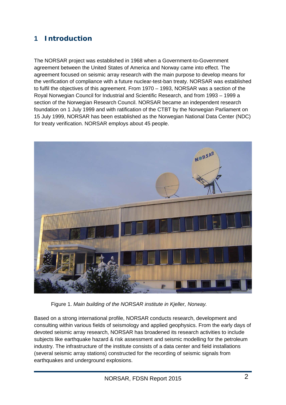## **1 Introduction**

The NORSAR project was established in 1968 when a Government-to-Government agreement between the United States of America and Norway came into effect. The agreement focused on seismic array research with the main purpose to develop means for the verification of compliance with a future nuclear-test-ban treaty. NORSAR was established to fulfil the objectives of this agreement. From 1970 – 1993, NORSAR was a section of the Royal Norwegian Council for Industrial and Scientific Research, and from 1993 – 1999 a section of the Norwegian Research Council. NORSAR became an independent research foundation on 1 July 1999 and with ratification of the CTBT by the Norwegian Parliament on 15 July 1999, NORSAR has been established as the Norwegian National Data Center (NDC) for treaty verification. NORSAR employs about 45 people.



Figure 1. *Main building of the NORSAR institute in Kjeller, Norway.*

Based on a strong international profile, NORSAR conducts research, development and consulting within various fields of seismology and applied geophysics. From the early days of devoted seismic array research, NORSAR has broadened its research activities to include subjects like earthquake hazard & risk assessment and seismic modelling for the petroleum industry. The infrastructure of the institute consists of a data center and field installations (several seismic array stations) constructed for the recording of seismic signals from earthquakes and underground explosions.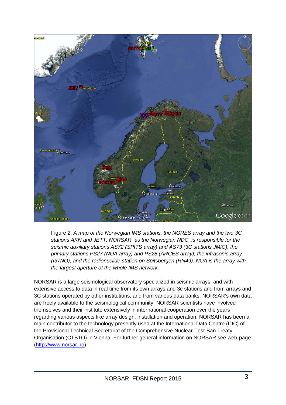

Figure 2. *A map of the Norwegian IMS stations, the NORES array and the two 3C stations AKN and JETT. NORSAR, as the Norwegian NDC, is responsible for the seismic auxiliary stations AS72 (SPITS array) and AS73 (3C stations JMIC), the primary stations PS27 (NOA array) and PS28 (ARCES array), the infrasonic array (I37NO), and the radionuclide station on Spitsbergen (RN49). NOA is the array with the largest aperture of the whole IMS network.*

NORSAR is a large seismological observatory specialized in seismic arrays, and with extensive access to data in real time from its own arrays and 3c stations and from arrays and 3C stations operated by other institutions, and from various data banks. NORSAR's own data are freely available to the seismological community. NORSAR scientists have involved themselves and their institute extensively in international cooperation over the years regarding various aspects like array design, installation and operation. NORSAR has been a main contributor to the technology presently used at the International Data Centre (IDC) of the Provisional Technical Secretariat of the Comprehensive Nuclear-Test-Ban Treaty Organisation (CTBTO) in Vienna. For further general information on NORSAR see web-page [\(http://www.norsar.no\)](http://www.norsar.no/).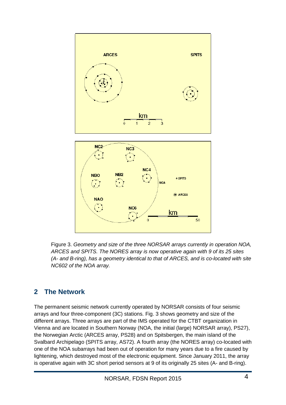

Figure 3. *Geometry and size of the three NORSAR arrays currently in operation NOA, ARCES and SPITS. The NORES array is now operative again with 9 of its 25 sites (A- and B-ring), has a geometry identical to that of ARCES, and is co-located with site NC602 of the NOA array.*

## **2 The Network**

The permanent seismic network currently operated by NORSAR consists of four seismic arrays and four three-component (3C) stations. Fig. 3 shows geometry and size of the different arrays. Three arrays are part of the IMS operated for the CTBT organization in Vienna and are located in Southern Norway (NOA, the initial (large) NORSAR array), PS27), the Norwegian Arctic (ARCES array, PS28) and on Spitsbergen, the main island of the Svalbard Archipelago (SPITS array, AS72). A fourth array (the NORES array) co-located with one of the NOA subarrays had been out of operation for many years due to a fire caused by lightening, which destroyed most of the electronic equipment. Since January 2011, the array is operative again with 3C short period sensors at 9 of its originally 25 sites (A- and B-ring).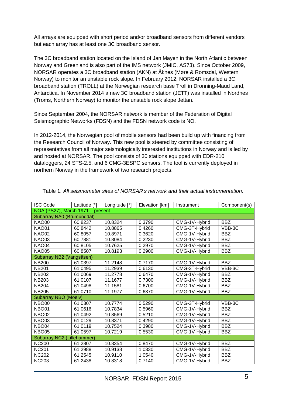All arrays are equipped with short period and/or broadband sensors from different vendors but each array has at least one 3C broadband sensor.

The 3C broadband station located on the Island of Jan Mayen in the North Atlantic between Norway and Greenland is also part of the IMS network (JMIC, AS73). Since October 2009, NORSAR operates a 3C broadband station (AKN) at Åknes (Møre & Romsdal, Western Norway) to monitor an unstable rock slope. In February 2012, NORSAR installed a 3C broadband station (TROLL) at the Norwegian research base Troll in Dronning-Maud Land, Antarctica. In November 2014 a new 3C broadband station (JETT) was installed in Nordnes (Troms, Northern Norway) to monitor the unstable rock slope Jettan.

Since September 2004, the NORSAR network is member of the Federation of Digital Seismographic Networks (FDSN) and the FDSN network code is NO.

In 2012-2014, the Norwegian pool of mobile sensors had been build up with financing from the Research Council of Norway. This new pool is steered by committee consisting of representatives from all major seismologically interested institutions in Norway and is led by and hosted at NORSAR. The pool consists of 30 stations equipped with EDR-210 dataloggers, 24 STS-2.5, and 6 CMG-3ESPC sensors. The tool is currently deployed in northern Norway in the framework of two research projects.

| <b>ISC Code</b>                  | Latitude [°] | Longitude [°] | Elevation [km] | Instrument    | Component(s) |  |
|----------------------------------|--------------|---------------|----------------|---------------|--------------|--|
| NOA (PS27), March 1971 - present |              |               |                |               |              |  |
| Subarray NA0 (Brumunddal)        |              |               |                |               |              |  |
| <b>NAO00</b>                     | 60.8237      | 10.8324       | 0.3790         | CMG-1V-Hybrid | <b>BBZ</b>   |  |
| <b>NAO01</b>                     | 60.8442      | 10.8865       | 0.4260         | CMG-3T-Hybrid | VBB-3C       |  |
| <b>NAO02</b>                     | 60.8057      | 10.8971       | 0.3620         | CMG-1V-Hybrid | <b>BBZ</b>   |  |
| <b>NAO03</b>                     | 60.7881      | 10.8084       | 0.2230         | CMG-1V-Hybrid | <b>BBZ</b>   |  |
| <b>NAO04</b>                     | 60.8105      | 10.7625       | 0.2970         | CMG-1V-Hybrid | <b>BBZ</b>   |  |
| <b>NAO05</b>                     | 60.8507      | 10.8193       | 0.2900         | CMG-1V-Hybrid | <b>BBZ</b>   |  |
| Subarray NB2 (Vangsåsen)         |              |               |                |               |              |  |
| <b>NB200</b>                     | 61.0397      | 11.2148       | 0.7170         | CMG-1V-Hybrid | <b>BBZ</b>   |  |
| <b>NB201</b>                     | 61.0495      | 11.2939       | 0.6130         | CMG-3T-Hybrid | VBB-3C       |  |
| <b>NB202</b>                     | 61.0069      | 11.2778       | 0.6470         | CMG-1V-Hybrid | <b>BBZ</b>   |  |
| <b>NB203</b>                     | 61.0107      | 11.1677       | 0.7300         | CMG-1V-Hybrid | <b>BBZ</b>   |  |
| <b>NB204</b>                     | 61.0498      | 11.1581       | 0.6700         | CMG-1V-Hybrid | <b>BBZ</b>   |  |
| <b>NB205</b>                     | 61.0710      | 11.1977       | 0.6370         | CMG-1V-Hybrid | <b>BBZ</b>   |  |
| Subarray NBO (Moelv)             |              |               |                |               |              |  |
| NBO <sub>00</sub>                | 61.0307      | 10.7774       | 0.5290         | CMG-3T-Hybrid | VBB-3C       |  |
| NBO01                            | 61.0616      | 10.7834       | 0.5960         | CMG-1V-Hybrid | <b>BBZ</b>   |  |
| <b>NBO02</b>                     | 61.0492      | 10.8569       | 0.5210         | CMG-1V-Hybrid | <b>BBZ</b>   |  |
| NBO <sub>03</sub>                | 61.0129      | 10.8371       | 0.4290         | CMG-1V-Hybrid | <b>BBZ</b>   |  |
| NBO04                            | 61.0119      | 10.7524       | 0.3980         | CMG-1V-Hybrid | <b>BBZ</b>   |  |
| <b>NBO05</b>                     | 61.0597      | 10.7219       | 0.5530         | CMG-1V-Hybrid | <b>BBZ</b>   |  |
| Subarray NC2 (Lillehammer)       |              |               |                |               |              |  |
| <b>NC200</b>                     | 61.2807      | 10.8354       | 0.8470         | CMG-1V-Hybrid | <b>BBZ</b>   |  |
| <b>NC201</b>                     | 61.2988      | 10.9138       | 1.0330         | CMG-1V-Hybrid | <b>BBZ</b>   |  |
| <b>NC202</b>                     | 61.2545      | 10.9110       | 1.0540         | CMG-1V-Hybrid | <b>BBZ</b>   |  |
| <b>NC203</b>                     | 61.2438      | 10.8318       | 0.7140         | CMG-1V-Hybrid | <b>BBZ</b>   |  |

Table 1. *All seismometer sites of NORSAR's network and their actual instrumentation.*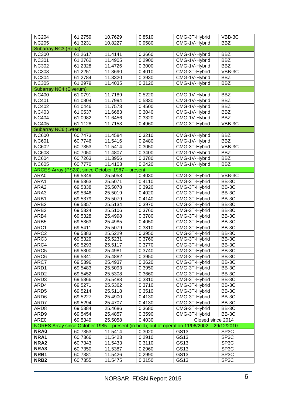| <b>NC204</b>                                     | 61.2759 | 10.7629 | 0.8510 | CMG-3T-Hybrid                                                                                | VBB-3C            |
|--------------------------------------------------|---------|---------|--------|----------------------------------------------------------------------------------------------|-------------------|
| <b>NC205</b>                                     | 61.3231 | 10.8227 | 0.9580 | CMG-1V-Hybrid                                                                                | <b>BBZ</b>        |
| <b>Subarray NC3 (Rena)</b>                       |         |         |        |                                                                                              |                   |
| <b>NC300</b>                                     | 61.2617 | 11.4141 | 0.3660 | CMG-1V-Hybrid                                                                                | <b>BBZ</b>        |
| <b>NC301</b>                                     | 61.2762 | 11.4905 | 0.2900 | CMG-1V-Hybrid                                                                                | <b>BBZ</b>        |
| <b>NC302</b>                                     | 61.2328 | 11.4726 | 0.3000 | CMG-1V-Hybrid                                                                                | <b>BBZ</b>        |
| <b>NC303</b>                                     | 61.2251 | 11.3690 | 0.4010 | CMG-3T-Hybrid                                                                                | VBB-3C            |
| <b>NC304</b>                                     | 61.2784 | 11.3320 | 0.3930 | CMG-1V-Hybrid                                                                                | <b>BBZ</b>        |
| <b>NC305</b>                                     | 61.2979 | 11.4035 | 0.3120 | CMG-1V-Hybrid                                                                                | <b>BBZ</b>        |
| Subarray NC4 (Elverum)                           |         |         |        |                                                                                              |                   |
| <b>NC400</b>                                     | 61.0791 | 11.7189 | 0.5220 | CMG-1V-Hybrid                                                                                | <b>BBZ</b>        |
| <b>NC401</b>                                     | 61.0804 | 11.7994 | 0.5830 | CMG-1V-Hybrid                                                                                | <b>BBZ</b>        |
| <b>NC402</b>                                     | 61.0446 | 11.7573 | 0.4500 | CMG-1V-Hybrid                                                                                | <b>BBZ</b>        |
| <b>NC403</b>                                     | 61.0537 | 11.6683 | 0.3040 | CMG-1V-Hybrid                                                                                | <b>BBZ</b>        |
| <b>NC404</b>                                     | 61.0982 | 11.6456 | 0.3320 | CMG-1V-Hybrid                                                                                | <b>BBZ</b>        |
| <b>NC405</b>                                     | 61.1128 | 11.7153 | 0.4960 | CMG-3T-Hybrid                                                                                | VBB-3C            |
| Subarray NC6 (Løten)                             |         |         |        |                                                                                              |                   |
| <b>NC600</b>                                     | 60.7473 | 11.4584 | 0.3210 | CMG-1V-Hybrid                                                                                | <b>BBZ</b>        |
| <b>NC601</b>                                     | 60.7746 | 11.5416 | 0.2480 | CMG-1V-Hybrid                                                                                | <b>BBZ</b>        |
| <b>NC602</b>                                     | 60.7353 | 11.5414 | 0.3050 | CMG-3T-Hybrid                                                                                | VBB-3C            |
| <b>NC603</b>                                     | 60.7050 | 11.4807 | 0.3400 | CMG-1V-Hybrid                                                                                | <b>BBZ</b>        |
| NC604                                            | 60.7263 | 11.3956 | 0.3780 | CMG-1V-Hybrid                                                                                | <b>BBZ</b>        |
| <b>NC605</b>                                     | 60.7770 | 11.4103 | 0.2420 | CMG-1V-Hybrid                                                                                | <b>BBZ</b>        |
| ARCES Array (PS28), since October 1987 - present |         |         |        |                                                                                              |                   |
| ARA0                                             | 69.5349 | 25.5058 | 0.4030 | CMG-3T-Hybrid                                                                                | VBB-3C            |
| ARA1                                             | 69.5363 | 25.5071 | 0.4110 | CMG-3T-Hybrid                                                                                | BB-3C             |
| ARA2                                             | 69.5338 | 25.5078 | 0.3920 | CMG-3T-Hybrid                                                                                | BB-3C             |
| ARA3                                             | 69.5346 | 25.5019 | 0.4020 | CMG-3T-Hybrid                                                                                | BB-3C             |
| ARB1                                             | 69.5379 | 25.5079 | 0.4140 | CMG-3T-Hybrid                                                                                | BB-3C             |
| ARB <sub>2</sub>                                 | 69.5357 | 25.5134 | 0.3970 | CMG-3T-Hybrid                                                                                | BB-3C             |
| ARB3                                             | 69.5324 | 25.5106 | 0.3760 | CMG-3T-Hybrid                                                                                | BB-3C             |
| ARB4                                             | 69.5328 | 25.4998 | 0.3780 | CMG-3T-Hybrid                                                                                | BB-3C             |
| ARB5                                             | 69.5363 | 25.4985 | 0.4050 | CMG-3T-Hybrid                                                                                | BB-3C             |
| ARC1                                             | 69.5411 | 25.5079 | 0.3810 | CMG-3T-Hybrid                                                                                | BB-3C             |
| ARC <sub>2</sub>                                 | 69.5383 | 25.5229 | 0.3950 | CMG-3T-Hybrid                                                                                | BB-3C             |
| ARC3                                             | 69.5329 | 25.5231 | 0.3760 | CMG-3T-Hybrid                                                                                | BB-3C             |
| ARC4                                             | 69.5293 | 25.5117 | 0.3770 | CMG-3T-Hybrid                                                                                | BB-3C             |
| ARC5                                             | 69.5300 | 25.4981 | 0.3740 | CMG-3T-Hybrid                                                                                | BB-3C             |
| ARC6                                             | 69.5341 | 25.4882 | 0.3950 | CMG-3T-Hybrid                                                                                | BB-3C             |
| ARC7                                             | 69.5396 | 25.4937 | 0.3620 | CMG-3T-Hybrid                                                                                | BB-3C             |
| ARD1                                             | 69.5483 | 25.5093 | 0.3950 | CMG-3T-Hybrid                                                                                | BB-3C             |
| ARD <sub>2</sub>                                 | 69.5452 | 25.5308 | 0.3660 | CMG-3T-Hybrid                                                                                | BB-3C             |
| ARD3                                             | 69.5366 | 25.5483 | 0.3310 | CMG-3T-Hybrid                                                                                | BB-3C             |
| ARD4                                             | 69.5271 | 25.5362 | 0.3710 | CMG-3T-Hybrid                                                                                | BB-3C             |
| ARD <sub>5</sub>                                 | 69.5214 | 25.5118 | 0.3510 | CMG-3T-Hybrid                                                                                | BB-3C             |
| ARD <sub>6</sub>                                 | 69.5227 | 25.4900 | 0.4130 | CMG-3T-Hybrid                                                                                | BB-3C             |
| ARD7                                             | 69.5294 | 25.4707 | 0.4130 | CMG-3T-Hybrid                                                                                | BB-3C             |
| ARD <sub>8</sub>                                 | 69.5384 | 25.4686 | 0.3680 | CMG-3T-Hybrid                                                                                | BB-3C             |
| ARD <sub>9</sub>                                 | 69.5454 | 25.4857 | 0.3590 | CMG-3T-Hybrid                                                                                | BB-3C             |
| ARE <sub>0</sub>                                 | 69.5349 | 25.5058 | 0.4030 | Closed since 2014                                                                            |                   |
|                                                  |         |         |        | NORES Array since October 1985 – present (in bold); out of operation 11/06/2002 – 29/12/2010 |                   |
| NRA0                                             | 60.7353 | 11.5414 | 0.3020 | GS13                                                                                         | SP <sub>3</sub> C |
| NRA1                                             | 60.7366 | 11.5423 | 0.2910 | GS13                                                                                         | SP <sub>3</sub> C |
| NRA <sub>2</sub>                                 |         |         |        | GS13                                                                                         | SP <sub>3</sub> C |
| NRA3                                             | 60.7343 | 11.5433 | 0.3110 |                                                                                              | SP <sub>3</sub> C |
|                                                  | 60.7350 | 11.5387 | 0.2960 | GS13                                                                                         |                   |
| NRB1                                             | 60.7381 | 11.5426 | 0.2990 | GS13                                                                                         | SP <sub>3</sub> C |
| NRB <sub>2</sub>                                 | 60.7355 | 11.5475 | 0.3150 | GS13                                                                                         | SP <sub>3</sub> C |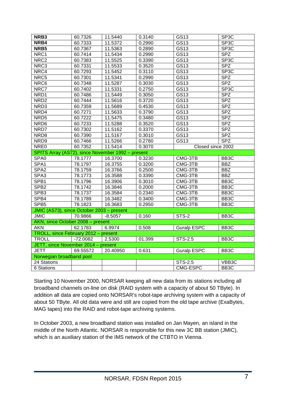| NRB3                                              | 60.7326    | 11.5440   | 0.3140 | GS13               | SP <sub>3</sub> C  |  |
|---------------------------------------------------|------------|-----------|--------|--------------------|--------------------|--|
| NRB4                                              | 60.7333    | 11.5372   | 0.2990 | GS13               | SP <sub>3</sub> C  |  |
| NRB5                                              | 60.7367    | 11.5363   | 0.2890 | GS13               | SP <sub>3</sub> C  |  |
| NRC1                                              | 60.7414    | 11.5434   | 0.2990 | GS13               | <b>SPZ</b>         |  |
| NRC <sub>2</sub>                                  | 60.7383    | 11.5525   | 0.3390 | GS13               | SP <sub>3</sub> C  |  |
| NRC3                                              | 60.7331    | 11.5533   | 0.3520 | GS13               | <b>SPZ</b>         |  |
| NRC4                                              | 60.7293    | 11.5452   | 0.3110 | GS13               | SP <sub>3</sub> C  |  |
| NRC5                                              | 60.7301    | 11.5341   | 0.2990 | GS13               | <b>SPZ</b>         |  |
| NRC6                                              | 60.7348    | 11.5287   | 0.3030 | GS13               | <b>SPZ</b>         |  |
| NRC7                                              | 60.7402    | 11.5331   | 0.2750 | GS13               | SP <sub>3</sub> C  |  |
| NRD1                                              | 60.7486    | 11.5449   | 0.3050 | GS13               | <b>SPZ</b>         |  |
| NRD <sub>2</sub>                                  | 60.7444    | 11.5616   | 0.3720 | GS13               | <b>SPZ</b>         |  |
| NRD3                                              | 60.7359    | 11.5689   | 0.4530 | GS13               | <b>SPZ</b>         |  |
| NRD4                                              | 60.7271    | 11.5633   | 0.3790 | GS13               | <b>SPZ</b>         |  |
| NRD <sub>5</sub>                                  | 60.7222    | 11.5475   | 0.3480 | GS13               | <b>SPZ</b>         |  |
| NRD <sub>6</sub>                                  | 60.7233    | 11.5288   | 0.3520 | GS13               | <b>SPZ</b>         |  |
| NRD7                                              | 60.7302    | 11.5162   | 0.3370 | GS13               | <b>SPZ</b>         |  |
| NRD8                                              | 60.7390    | 11.5167   | 0.3010 | GS13               | <b>SPZ</b>         |  |
| NRD9                                              | 60.7466    | 11.5266   | 0.2780 | $\overline{GS13}$  | <b>SPZ</b>         |  |
| NRE <sub>0</sub>                                  | 60.7352    | 11.5414   | 0.3070 | Closed since 2002  |                    |  |
| SPITS Array (AS72), since November 1992 - present |            |           |        |                    |                    |  |
| SPA0                                              | 78.1777    | 16.3700   | 0.3230 | CMG-3TB            | BB <sub>3</sub> C  |  |
| SPA1                                              | 78.1797    | 16.3755   | 0.3200 | CMG-3TB            | <b>BBZ</b>         |  |
| SPA <sub>2</sub>                                  | 78.1759    | 16.3766   | 0.2500 | CMG-3TB            | <b>BBZ</b>         |  |
| SPA3                                              | 78.1773    | 16.3588   | 0.3390 | CMG-3TB            | <b>BBZ</b>         |  |
| SPB <sub>1</sub>                                  | 78.1796    | 16.3906   | 0.3010 | CMG-3TB            | BB <sub>3</sub> C  |  |
| SPB <sub>2</sub>                                  | 78.1742    | 16.3846   | 0.2000 | CMG-3TB            | BB <sub>3</sub> C  |  |
| SPB <sub>3</sub>                                  | 78.1737    | 16.3584   | 0.2340 | CMG-3TB            | BB <sub>3</sub> C  |  |
| SPB4                                              | 78.1789    | 16.3482   | 0.3400 | CMG-3TB            | BB <sub>3</sub> C  |  |
| SPB <sub>5</sub>                                  | 78.1823    | 16.3683   | 0.2950 | CMG-3TB            | BB <sub>3</sub> C  |  |
| JMIC (AS73), since October 2003 - present         |            |           |        |                    |                    |  |
| <b>JMIC</b>                                       | 70.9866    | $-8.5057$ | 0.160  | STS-2              | BB <sub>3</sub> C  |  |
| AKN, since October 2008 - present                 |            |           |        |                    |                    |  |
| <b>AKN</b>                                        | 62.1783    | 6.9974    | 0.508  | <b>Guralp ESPC</b> | BB <sub>3</sub> C  |  |
| TROLL, since February 2012 - present              |            |           |        |                    |                    |  |
| <b>TROLL</b>                                      | $-72.0082$ | 2.5300    | 01.399 | STS-2.5            | BB <sub>3</sub> C  |  |
| JETT, since November 2014 - present               |            |           |        |                    |                    |  |
| JETT                                              | 69.55572   | 20.40950  | 0.631  | <b>Guralp ESPC</b> | BB <sub>3</sub> C  |  |
| Norwegian broadband pool                          |            |           |        |                    |                    |  |
| 24 Stations                                       |            |           |        |                    |                    |  |
|                                                   |            |           |        | <b>STS-2.5</b>     | VBB <sub>3</sub> C |  |

Starting 10 November 2000, NORSAR keeping all new data from its stations including all broadband channels on-line on disk (RAID system with a capacity of about 50 TByte). In addition all data are copied onto NORSAR's robot-tape archiving system with a capacity of about 50 TByte. All old data were and still are copied from the old tape archive (ExaBytes, MAG tapes) into the RAID and robot-tape archiving systems.

In October 2003, a new broadband station was installed on Jan Mayen, an island in the middle of the North Atlantic. NORSAR is responsible for this new 3C BB station (JMIC), which is an auxiliary station of the IMS network of the CTBTO in Vienna.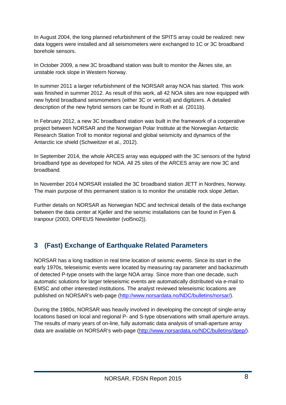In August 2004, the long planned refurbishment of the SPITS array could be realized: new data loggers were installed and all seismometers were exchanged to 1C or 3C broadband borehole sensors.

In October 2009, a new 3C broadband station was built to monitor the Åknes site, an unstable rock slope in Western Norway.

In summer 2011 a larger refurbishment of the NORSAR array NOA has started. This work was finished in summer 2012. As result of this work, all 42 NOA sites are now equipped with new hybrid broadband seismometers (either 3C or vertical) and digitizers. A detailed description of the new hybrid sensors can be found in Roth et al. (2011b).

In February 2012, a new 3C broadband station was built in the framework of a cooperative project between NORSAR and the Norwegian Polar Institute at the Norwegian Antarctic Research Station Troll to monitor regional and global seismicity and dynamics of the Antarctic ice shield (Schweitzer et al., 2012).

In September 2014, the whole ARCES array was equipped with the 3C sensors of the hybrid broadband type as developed for NOA. All 25 sites of the ARCES array are now 3C and broadband.

In November 2014 NORSAR installed the 3C broadband station JETT in Nordnes, Norway. The main purpose of this permanent station is to monitor the unstable rock slope Jettan.

Further details on NORSAR as Norwegian NDC and technical details of the data exchange between the data center at Kjeller and the seismic installations can be found in Fyen & Iranpour (2003, ORFEUS Newsletter (vol5no2)).

## **3 (Fast) Exchange of Earthquake Related Parameters**

NORSAR has a long tradition in real time location of seismic events. Since its start in the early 1970s, teleseismic events were located by measuring ray parameter and backazimuth of detected P-type onsets with the large NOA array. Since more than one decade, such automatic solutions for larger teleseismic events are automatically distributed via e-mail to EMSC and other interested institutions. The analyst reviewed teleseismic locations are published on NORSAR's web-page [\(http://www.norsardata.no/NDC/bulletins/norsar/\)](http://www.norsardata.no/NDC/bulletins/norsar/).

During the 1980s, NORSAR was heavily involved in developing the concept of single-array locations based on local and regional P- and S-type observations with small aperture arrays. The results of many years of on-line, fully automatic data analysis of small-aperture array data are available on NORSAR's web-page [\(http://www.norsardata.no/NDC/bulletins/dpep/\)](http://www.norsardata.no/NDC/bulletins/dpep/).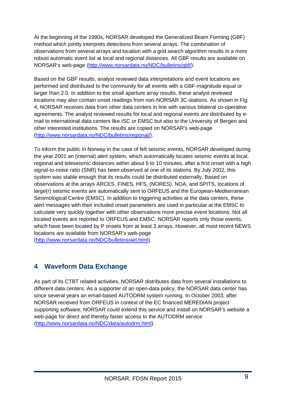At the beginning of the 1990s, NORSAR developed the Generalized Beam Forming (GBF) method which jointly interprets detections from several arrays. The combination of observations from several arrays and location with a grid search algorithm results in a more robust automatic event list at local and regional distances. All GBF results are available on NORSAR's web-page [\(http://www.norsardata.no/NDC/bulletins/gbf/\)](http://www.norsardata.no/NDC/bulletins/gbf/).

Based on the GBF results, analyst reviewed data interpretations and event locations are performed and distributed to the community for all events with a GBF-magnitude equal or larger than 2.0. In addition to the small aperture array results, these analyst reviewed locations may also contain onset readings from non-NORSAR 3C-stations. As shown in Fig. 4, NORSAR receives data from other data centers in line with various bilateral co-operative agreements. The analyst reviewed results for local and regional events are distributed by email to international data centers like ISC or EMSC but also to the University of Bergen and other interested institutions. The results are copied on NORSAR's web-page [\(http://www.norsardata.no/NDC/bulletins/regional/\)](http://www.norsardata.no/NDC/bulletins/regional/).

To inform the public in Norway in the case of felt seismic events, NORSAR developed during the year 2001 an (internal) alert system, which automatically locates seismic events at local, regional and teleseismic distances within about 5 to 10 minutes, after a first onset with a high signal-to-noise ratio (SNR) has been observed at one of its stations. By July 2002, this system was stable enough that its results could be distributed externally. Based on observations at the arrays ARCES, FINES, HFS, (NORES), NOA, and SPITS, locations of large(r) seismic events are automatically sent to ORFEUS and the European-Mediterranean Seismological Centre (EMSC). In addition to triggering activities at the data centers, these alert messages with their included onset parameters are used in particular at the EMSC to calculate very quickly together with other observations more precise event locations. Not all located events are reported to ORFEUS and EMSC: NORSAR reports only those events, which have been located by P onsets from at least 3 arrays. However, all most recent NEWS locations are available from NORSAR's web-page

[\(http://www.norsardata.no/NDC/bulletins/ael.html\)](http://www.norsardata.no/NDC/bulletins/ael.html).

### **4 Waveform Data Exchange**

As part of its CTBT related activities, NORSAR distributes data from several installations to different data centers. As a supporter of an open-data policy, the NORSAR data center has since several years an email-based AUTODRM system running. In October 2003, after NORSAR received from ORFEUS in context of the EC financed MEREDIAN project supporting software, NORSAR could extend this service and install on NORSAR's website a web-page for direct and thereby faster access to the AUTODRM service [\(http://www.norsardata.no/NDC/data/autodrm.html\)](http://www.norsardata.no/NDC/data/autodrm.html).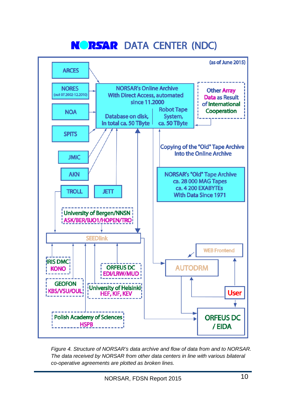# **NORSAR** DATA CENTER (NDC)

![](_page_9_Figure_1.jpeg)

![](_page_9_Figure_2.jpeg)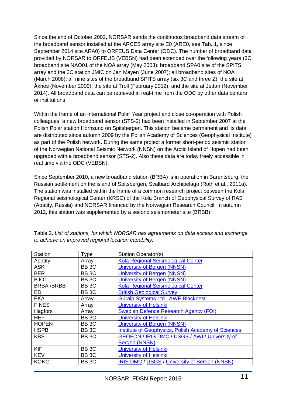Since the end of October 2002, NORSAR sends the continuous broadband data stream of the broadband sensor installed at the ARCES array site E0 (ARE0, see Tab. 1, since September 2014 site ARA0) to ORFEUS Data Center (ODC). The number of broadband data provided by NORSAR to ORFEUS (VEBSN) had been extended over the following years (3C broadband site NAO01 of the NOA array (May 2003); broadband SPA0 site of the SPITS array and the 3C station JMIC on Jan Mayen (June 2007); all broadband sites of NOA (March 2008); all nine sites of the broadband SPITS array (six 3C and three Z); the site at Åknes (November 2009); the site at Troll (February 2012), and the site at Jettan (November 2014). All broadband data can be retrieved in real-time from the ODC by other data centers or institutions.

Within the frame of an International Polar Year project and close co-operation with Polish colleagues, a new broadband sensor (STS-2) had been installed in September 2007 at the Polish Polar station Hornsund on Spitsbergen. This station became permanent and its data are distributed since autumn 2009 by the Polish Academy of Sciences (Geophysical Institute) as part of the Polish network. During the same project a former short-period seismic station of the Norwegian National Seismic Network (NNSN) on the Arctic Island of Hopen had been upgraded with a broadband sensor (STS-2). Also these data are today freely accessible in real time via the ODC (VEBSN).

Since September 2010, a new broadband station (BRBA) is in operation in Barentsburg, the Russian settlement on the island of Spitsbergen, Svalbard Archipelago (Roth et al., 2011a). The station was installed within the frame of a common research project between the Kola Regional seismological Center (KRSC) of the Kola Branch of Geophysical Survey of RAS (Apatity, Russia) and NORSAR financed by the Norwegian Research Council. In autumn 2012, this station was supplemented by a second seismometer site (BRBB).

| <b>Station</b>   | <b>Type</b>       | <b>Station Operator(s)</b>                           |
|------------------|-------------------|------------------------------------------------------|
| Apatity          | Array             | <b>Kola Regional Seismological Center</b>            |
| <b>ASK</b>       | BB <sub>3</sub> C | <b>University of Bergen (NNSN)</b>                   |
| <b>BER</b>       | BB <sub>3</sub> C | <b>University of Bergen (NNSN)</b>                   |
| BJO <sub>1</sub> | BB <sub>3</sub> C | <b>University of Bergen (NNSN)</b>                   |
| <b>BRBA/BRBB</b> | BB <sub>3</sub> C | Kola Regional Seismological Center                   |
| <b>EDI</b>       | BB <sub>3</sub> C | <b>British Geological Survey</b>                     |
| <b>EKA</b>       | Arrav             | Güralp Systems Ltd., AWE Blacknest                   |
| <b>FINES</b>     | Array             | <b>University of Helsinki</b>                        |
| Hagfors          | Array             | <b>Swedish Defence Research Agency (FOI)</b>         |
| <b>HEF</b>       | BB <sub>3</sub> C | <b>University of Helsinki</b>                        |
| <b>HOPEN</b>     | BB <sub>3</sub> C | University of Bergen (NNSN)                          |
| <b>HSPB</b>      | BB <sub>3</sub> C | Institute of Geophysics, Polish Academy of Sciences  |
| <b>KBS</b>       | BB <sub>3</sub> C | GEOFON / IRIS DMC / USGS / AWI / University of       |
|                  |                   | <b>Bergen (NNSN)</b>                                 |
| <b>KIF</b>       | <b>BB 3C</b>      | <b>University of Helsinki</b>                        |
| <b>KEV</b>       | <b>BB 3C</b>      | <b>University of Helsinki</b>                        |
| <b>KONO</b>      | BB <sub>3</sub> C | <b>IRIS DMC / USGS / University of Bergen (NNSN)</b> |

Table 2. *List of stations, for which NORSAR has agreements on data access and exchange to achieve an improved regional location capability.*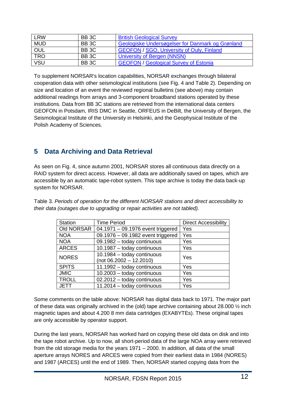| <b>LRW</b> | BB 3C             | <b>British Geological Survey</b>                 |
|------------|-------------------|--------------------------------------------------|
| <b>MUD</b> | BB 3C             | Geologiske Undersøgelser for Danmark og Grønland |
| <b>OUL</b> | BB 3C             | <b>GEOFON / SGO, University of Ouly, Finland</b> |
| <b>TRO</b> | BB 3C             | University of Bergen (NNSN)                      |
| <b>VSU</b> | BB <sub>3</sub> C | <b>GEOFON</b> / Geological Survey of Estonia     |

To supplement NORSAR's location capabilities, NORSAR exchanges through bilateral cooperation data with other seismological institutions (see Fig. 4 and Table 2). Depending on size and location of an event the reviewed regional bulletins (see above) may contain additional readings from arrays and 3-component broadband stations operated by these institutions. Data from BB 3C stations are retrieved from the international data centers GEOFON in Potsdam, IRIS DMC in Seattle, ORFEUS in DeBilt, the University of Bergen, the Seismological Institute of the University in Helsinki, and the Geophysical Institute of the Polish Academy of Sciences.

### **5 Data Archiving and Data Retrieval**

As seen on Fig. 4, since autumn 2001, NORSAR stores all continuous data directly on a RAID system for direct access. However, all data are additionally saved on tapes, which are accessible by an automatic tape-robot system. This tape archive is today the data back-up system for NORSAR.

Table 3. *Periods of operation for the different NORSAR stations and direct accessibility to their data (outages due to upgrading or repair activities are not tabled).*

| <b>Station</b> | <b>Time Period</b>                | <b>Direct Accessibility</b> |
|----------------|-----------------------------------|-----------------------------|
| Old NORSAR     | 04.1971 - 09.1976 event triggered | Yes                         |
| <b>NOA</b>     | 09.1976 - 09.1982 event triggered | Yes                         |
| <b>NOA</b>     | 09.1982 - today continuous        | Yes                         |
| <b>ARCES</b>   | 10.1987 - today continuous        | Yes                         |
| <b>NORES</b>   | 10.1984 - today continuous        | Yes                         |
|                | (not $06.2002 - 12.2010$ )        |                             |
| <b>SPITS</b>   | 11.1992 - today continuous        | Yes                         |
| <b>JMIC</b>    | 10.2003 - today continuous        | Yes                         |
| <b>TROLL</b>   | 02.2012 - today continuous        | Yes                         |
| JETT           | 11.2014 - today continuous        | Yes                         |

Some comments on the table above: NORSAR has digital data back to 1971. The major part of these data was originally archived in the (old) tape archive containing about 28.000  $\frac{1}{2}$  inch magnetic tapes and about 4.200 8 mm data cartridges (EXABYTEs). These original tapes are only accessible by operator support.

During the last years, NORSAR has worked hard on copying these old data on disk and into the tape robot archive. Up to now, all short-period data of the large NOA array were retrieved from the old storage media for the years 1971 – 2000. In addition, all data of the small aperture arrays NORES and ARCES were copied from their earliest data in 1984 (NORES) and 1987 (ARCES) until the end of 1989. Then, NORSAR started copying data from the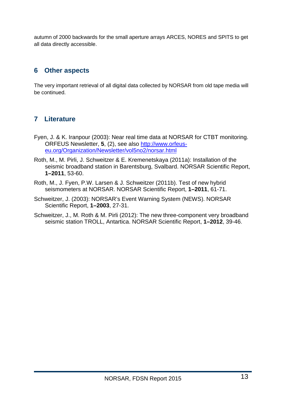autumn of 2000 backwards for the small aperture arrays ARCES, NORES and SPITS to get all data directly accessible.

#### **6 Other aspects**

The very important retrieval of all digital data collected by NORSAR from old tape media will be continued.

# **7 Literature**

- Fyen, J. & K. Iranpour (2003): Near real time data at NORSAR for CTBT monitoring. ORFEUS Newsletter, **5**, (2), see also [http://www.orfeus](http://www.orfeus-eu.org/Organization/Newsletter/vol5no2/norsar.html)[eu.org/Organization/Newsletter/vol5no2/norsar.html](http://www.orfeus-eu.org/Organization/Newsletter/vol5no2/norsar.html)
- Roth, M., M. Pirli, J. Schweitzer & E. Kremenetskaya (2011a): Installation of the seismic broadband station in Barentsburg, Svalbard. NORSAR Scientific Report, **1–2011**, 53-60.
- Roth, M., J. Fyen, P.W. Larsen & J. Schweitzer (2011b). Test of new hybrid seismometers at NORSAR. NORSAR Scientific Report, **1–2011**, 61-71.
- Schweitzer, J. (2003): NORSAR's Event Warning System (NEWS). NORSAR Scientific Report, **1–2003**, 27-31.
- Schweitzer, J., M. Roth & M. Pirli (2012): The new three-component very broadband seismic station TROLL, Antartica. NORSAR Scientific Report, **1–2012**, 39-46.